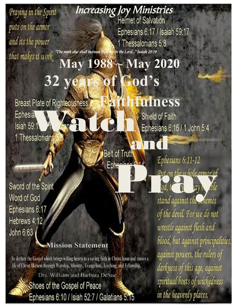Praying in the Spirit puts on the armor and its the power that makes it work

Increasing Joy Ministries<br>Helmet of Salvation Ephesians 6:17 / Isaiah 59:17 1 Thessalonians 5:8 "The meek also shall increase their joy in the Lord..." Isaiah 29:19

## **32 years of God's May 1988 ~ May 2020**

Watch

and

Sword of the Spirit Word of God Ephesians 6:17 Hebrews 4:12 John 6:63

### **Mission Statement**

To declare the Gospel which brings willing hearts to a saving faith in Christ Jesus and causes a life of Christ likeness through Worship, Ministry, Evangelism, Teaching, and Fellowship.

Drs. William and Barbara DeSue

Shoes of the Gospel of Peace 1 Ephesians 6:10 / Isiah 52:7 / Galatians 5:15

# **ness**

Shield of Faith

Ephesians 6:11-12<br>Put on the whole armor of<br>ad, the whole armor of<br>stand against the chemes

of the devil. For we do not wrestle against flesh and blood, but against principalities, against powers, the rulers of darkness of this age, against spiritual hosts of wickedness in the heavenly places.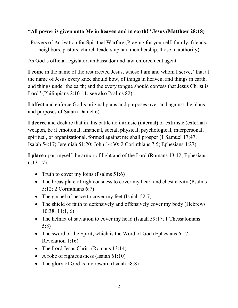#### **"All power is given unto Me in heaven and in earth!" Jesus (Matthew 28:18)**

Prayers of Activation for Spiritual Warfare (Praying for yourself, family, friends, neighbors, pastors, church leadership and membership, those in authority)

As God's official legislator, ambassador and law-enforcement agent:

**I come** in the name of the resurrected Jesus, whose I am and whom I serve, "that at the name of Jesus every knee should bow, of things in heaven, and things in earth, and things under the earth; and the every tongue should confess that Jesus Christ is Lord" (Philippians 2:10-11; see also Psalms 82).

**I affect** and enforce God's original plans and purposes over and against the plans and purposes of Satan (Daniel 6).

**I decree** and declare that in this battle no intrinsic (internal) or extrinsic (external) weapon, be it emotional, financial, social, physical, psychological, interpersonal, spiritual, or organizational, formed against me shall prosper (1 Samuel 17:47; Isaiah 54:17; Jeremiah 51:20; John 14:30; 2 Corinthians 7:5; Ephesians 4:27).

**I place** upon myself the armor of light and of the Lord (Romans 13:12; Ephesians 6:13-17).

- Truth to cover my loins (Psalms 51:6)
- The breastplate of righteousness to cover my heart and chest cavity (Psalms) 5:12; 2 Corinthians 6:7)
- The gospel of peace to cover my feet (Isaiah 52:7)
- The shield of faith to defensively and offensively cover my body (Hebrews 10:38; 11:1, 6)
- The helmet of salvation to cover my head (Isaiah 59:17; 1 Thessalonians 5:8)
- The sword of the Spirit, which is the Word of God (Ephesians 6:17, Revelation 1:16)
- The Lord Jesus Christ (Romans 13:14)
- A robe of righteousness (Isaiah 61:10)
- The glory of God is my reward (Isaiah 58:8)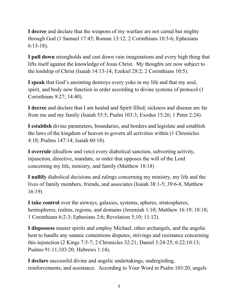**I decree** and declare that the weapons of my warfare are not carnal but mighty through God (1 Samuel 17:45; Roman 13:12; 2 Corinthians 10:3-6; Ephesians 6:13-18).

**I pull down** strongholds and cast down vain imaginations and every high thing that lifts itself against the knowledge of Jesus Christ. My thoughts are now subject to the lordship of Christ (Isaiah 14:13-14; Ezekiel 28:2; 2 Corinthians 10:5).

**I speak** that God's anointing destroys every yoke in my life and that my soul, spirit, and body now function in order according to divine systems of protocol (1 Corinthians 9:27; 14:40).

**I decree** and declare that I am healed and Spirit filled; sickness and disease are far from me and my family (Isaiah 53:5; Psalm 103:3; Exodus 15:26; 1 Peter 2:24).

**I establish** divine parameters, boundaries, and borders and legislate and establish the laws of the kingdom of heaven to govern all activities within (1 Chronicles 4:10; Psalms 147:14; Isaiah 60:18).

**I overrule** (disallow and veto) every diabolical sanction, subverting activity, injunction, directive, mandate, or order that opposes the will of the Lord concerning my life, ministry, and family (Matthew 18:18)

**I nullify** diabolical decisions and rulings concerning my ministry, my life and the lives of family members, friends, and associates (Isaiah 38:1-5; 39:6-8, Matthew 16:19)

**I take control** over the airways, galaxies, systems, spheres, stratospheres, hemispheres, realms, regions, and domains (Jeremiah 1:10; Matthew 16:19; 18:18; 1 Corinthians 6:2-3; Ephesians 2:6; Revelation 5;10; 11:12).

**I dispossess** master spirits and employ Michael, other archangels, and the angelic host to handle any satanic contentions disputes, strivings and resistance concerning this injunction (2 Kings 7:5-7; 2 Chronicles 32:21; Daniel 3:24-25; 6:22;10:13; Psalms 91:11;103:20; Hebrews 1:14).

**I declare** successful divine and angelic undertakings, undergirding, reinforcements, and assistance. According to Your Word in Psalm 103:20, angels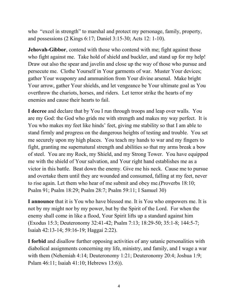who "excel in strength" to marshal and protect my personage, family, property, and possessions (2 Kings 6:17; Daniel 3:15-30; Acts 12: 1-10).

**Jehovah-Gibbor**, contend with those who contend with me; fight against those who fight against me. Take hold of shield and buckler, and stand up for my help! Draw out also the spear and javelin and close up the way of those who pursue and persecute me. Clothe Yourself in Your garments of war. Muster Your devices; gather Your weaponry and ammunition from Your divine arsenal. Make bright Your arrow, gather Your shields, and let vengeance be Your ultimate goal as You overthrow the chariots, horses, and riders. Let terror strike the hearts of my enemies and cause their hearts to fail.

**I decree** and declare that by You I run through troops and leap over walls. You are my God: the God who grids me with strength and makes my way perfect. It is You who makes my feet like hinds' feet, giving me stability so that I am able to stand firmly and progress on the dangerous heights of testing and trouble. You set me securely upon my high places. You teach my hands to war and my fingers to fight, granting me supernatural strength and abilities so that my arms break a bow of steel. You are my Rock, my Shield, and my Strong Tower. You have equipped me with the shield of Your salvation, and Your right hand establishes me as a victor in this battle. Beat down the enemy. Give me his neck. Cause me to pursue and overtake them until they are wounded and consumed, falling at my feet, never to rise again. Let them who hear of me submit and obey me.(Proverbs 18:10; Psalm 91; Psalm 18:29; Psalm 28:7; Psalm 59:11; I Samuel 30)

**I announce** that it is You who have blessed me. It is You who empowers me. It is not by my might nor by my power, but by the Spirit of the Lord. For when the enemy shall come in like a flood, Your Spirit lifts up a standard against him (Exodus 15:3; Deuteronomy 32:41-42; Psalm 7:13; 18:29-50; 35:1-8; 144:5-7; Isaiah 42:13-14; 59:16-19; Haggai 2:22).

**I forbid** and disallow further opposing activities of any satanic personalities with diabolical assignments concerning my life, ministry, and family, and I wage a war with them (Nehemiah 4:14; Deuteronomy 1:21; Deuteronomy 20:4; Joshua 1:9; Pslam 46:11; Isaiah 41:10; Hebrews 13:6)).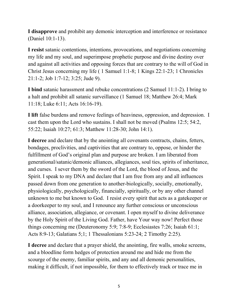**I disapprove** and prohibit any demonic interception and interference or resistance (Daniel 10:1-13).

**I resist** satanic contentions, intentions, provocations, and negotiations concerning my life and my soul, and superimpose prophetic purpose and divine destiny over and against all activities and opposing forces that are contrary to the will of God in Christ Jesus concerning my life ( 1 Samuel 1:1-8; 1 Kings 22:1-23; 1 Chronicles 21:1-2; Job 1:7-12; 3:25; Jude 9).

**I bind** satanic harassment and rebuke concentrations (2 Samuel 11:1-2). I bring to a halt and prohibit all satanic surveillance (1 Samuel 18; Matthew 26:4; Mark 11:18; Luke 6:11; Acts 16:16-19).

**I lift** false burdens and remove feelings of heaviness, oppression, and depression. I cast them upon the Lord who sustains. I shall not be moved (Psalms 12:5; 54:2, 55:22; Isaiah 10:27; 61:3; Matthew 11:28-30; John 14:1).

**I decree** and declare that by the anointing all covenants contracts, chains, fetters, bondages, proclivities, and captivities that are contrary to, oppose, or hinder the fulfillment of God's original plan and purpose are broken. I am liberated from generational/satanic/demonic alliances, allegiances, soul ties, spirits of inheritance, and curses. I sever them by the sword of the Lord, the blood of Jesus, and the Spirit. I speak to my DNA and declare that I am free from any and all influences passed down from one generation to another-biologically, socially, emotionally, physiologically, psychologically, financially, spiritually, or by any other channel unknown to me but known to God. I resist every spirit that acts as a gatekeeper or a doorkeeper to my soul, and I renounce any further conscious or unconscious alliance, association, allegiance, or covenant. I open myself to divine deliverance by the Holy Spirit of the Living God. Father, have Your way now! Perfect those things concerning me (Deuteronomy 5:9; 7:8-9; Ecclesiastes 7:26; Isaiah 61:1; Acts 8:9-13; Galatians 5;1; 1 Thessalonians 5:23-24; 2 Timothy 2:25).

**I decree** and declare that a prayer shield, the anointing, fire walls, smoke screens, and a bloodline form hedges of protection around me and hide me from the scourge of the enemy, familiar spirits, and any and all demonic personalities, making it difficult, if not impossible, for them to effectively track or trace me in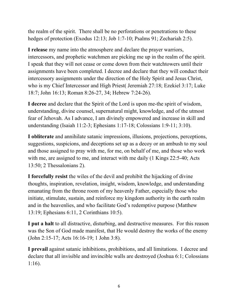the realm of the spirit. There shall be no perforations or penetrations to these hedges of protection (Exodus 12:13; Job 1:7-10; Psalms 91; Zechariah 2:5).

**I release** my name into the atmosphere and declare the prayer warriors, intercessors, and prophetic watchmen are picking me up in the realm of the spirit. I speak that they will not cease or come down from their watchtowers until their assignments have been completed. I decree and declare that they will conduct their intercessory assignments under the direction of the Holy Spirit and Jesus Christ, who is my Chief Intercessor and High Priest Jeremiah 27:18; Ezekiel 3:17; Luke 18:7; John 16:13; Roman 8:26-27, 34; Hebrew 7:24-26).

**I decree** and declare that the Spirit of the Lord is upon me-the spirit of wisdom, understanding, divine counsel, supernatural might, knowledge, and of the utmost fear of Jehovah. As I advance, I am divinely empowered and increase in skill and understanding (Isaiah 11:2-3; Ephesians 1:17-18; Colossians 1:9-11; 3:10).

**I obliterate** and annihilate satanic impressions, illusions, projections, perceptions, suggestions, suspicions, and deceptions set up as a decoy or an ambush to my soul and those assigned to pray with me, for me, on behalf of me, and those who work with me, are assigned to me, and interact with me daily (1 Kings 22:5-40; Acts 13:50; 2 Thessalonians 2).

**I forcefully resist** the wiles of the devil and prohibit the hijacking of divine thoughts, inspiration, revelation, insight, wisdom, knowledge, and understanding emanating from the throne room of my heavenly Father, especially those who initiate, stimulate, sustain, and reinforce my kingdom authority in the earth realm and in the heavenlies, and who facilitate God's redemptive purpose (Matthew 13:19; Ephesians 6:11, 2 Corinthians 10:5).

**I put a halt** to all distractive, disturbing, and destructive measures. For this reason was the Son of God made manifest, that He would destroy the works of the enemy (John 2:15-17; Acts 16:16-19; 1 John 3:8).

**I prevail** against satanic inhibitions, prohibitions, and all limitations. I decree and declare that all invisible and invincible walls are destroyed (Joshua 6:1; Colossians 1:16).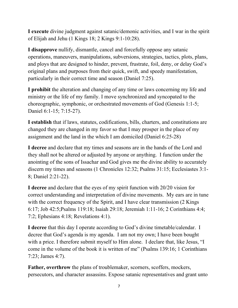**I execute** divine judgment against satanic/demonic activities, and I war in the spirit of Elijah and Jehu (1 Kings 18; 2 Kings 9:1-10:28).

**I disapprove** nullify, dismantle, cancel and forcefully oppose any satanic operations, maneuvers, manipulations, subversions, strategies, tactics, plots, plans, and ploys that are designed to hinder, prevent, frustrate, foil, deny, or delay God's original plans and purposes from their quick, swift, and speedy manifestation, particularly in their correct time and season (Daniel 7:25).

**I prohibit** the alteration and changing of any time or laws concerning my life and ministry or the life of my family. I move synchronized and syncopated to the choreographic, symphonic, or orchestrated movements of God (Genesis 1:1-5; Daniel 6:1-15; 7:15-27).

**I establish** that if laws, statutes, codifications, bills, charters, and constitutions are changed they are changed in my favor so that I may prosper in the place of my assignment and the land in the which I am domiciled (Daniel 6:25-28)

**I decree** and declare that my times and seasons are in the hands of the Lord and they shall not be altered or adjusted by anyone or anything. I function under the anointing of the sons of Issachar and God gives me the divine ability to accurately discern my times and seasons (1 Chronicles 12:32; Psalms 31:15; Ecclesiastes 3:1- 8; Daniel 2:21-22).

**I decree** and declare that the eyes of my spirit function with 20/20 vision for correct understanding and interpretation of divine movements. My ears are in tune with the correct frequency of the Spirit, and I have clear transmission (2 Kings) 6:17; Job 42:5;Psalms 119:18; Isaiah 29:18; Jeremiah 1:11-16; 2 Corinthians 4:4; 7:2; Ephesians 4:18; Revelations 4:1).

**I decree** that this day I operate according to God's divine timetable/calendar. I decree that God's agenda is my agenda. I am not my own; I have been bought with a price. I therefore submit myself to Him alone. I declare that, like Jesus, "I come in the volume of the book it is written of me" (Psalms 139:16; 1 Corinthians 7:23; James 4:7).

**Father, overthrow** the plans of troublemaker, scorners, scoffers, mockers, persecutors, and character assassins. Expose satanic representatives and grant unto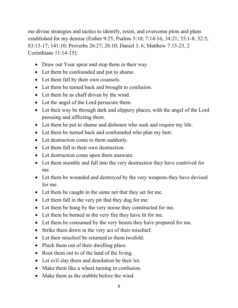me divine strategies and tactics to identify, resist, and overcome plots and plans established for my demise (Esther 9:25; Psalms 5:10; 7:14-16; 34:21; 35:1-8; 52:5; 83:13-17; 141:10; Proverbs 26:27; 28:10; Daniel 3, 6; Matthew 7:15-23, 2 Corinthians 11:14-15):

- Draw out Your spear and stop them in their way.
- Let them be confounded and put to shame.
- Let them fall by their own counsels.
- Let them be turned back and brought to confusion.
- Let them be as chaff driven by the wind.
- Let the angel of the Lord persecute them.
- Let their way be through dark and slippery places, with the angel of the Lord pursuing and afflicting them.
- Let them be put to shame and dishonor who seek and require my life.
- Let them be turned back and confounded who plan my hurt.
- Let destruction come to them suddenly.
- Let them fall to their own destruction.
- Let destruction come upon them unaware.
- Let them stumble and fall into the very destruction they have contrived for me.
- Let them be wounded and destroyed by the very weapons they have devised for me.
- Let them be caught in the same net that they set for me.
- Let them fall in the very pit that they dug for me.
- Let them be hung by the very noose they constructed for me.
- Let them be burned in the very fire they have lit for me.
- Let them be consumed by the very beasts they have prepared for me.
- Strike them down in the very act of their mischief.
- Let their mischief be returned to them twofold.
- Pluck them out of their dwelling place.
- Root them out to of the land of the living.
- Let evil slay them and desolation be their lot.
- Make them like a wheel turning in confusion.
- Make them as the stubble before the wind.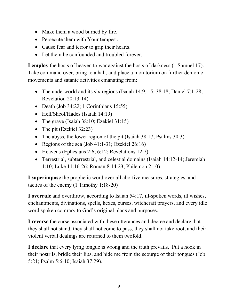- Make them a wood burned by fire.
- Persecute them with Your tempest.
- Cause fear and terror to grip their hearts.
- Let them be confounded and troubled forever.

**I employ** the hosts of heaven to war against the hosts of darkness (1 Samuel 17). Take command over, bring to a halt, and place a moratorium on further demonic movements and satanic activities emanating from:

- The underworld and its six regions (Isaiah 14:9, 15; 38:18; Daniel 7:1-28; Revelation 20:13-14).
- Death (Job 34:22; 1 Corinthians 15:55)
- Hell/Sheol/Hades (Isaiah 14:19)
- The grave (Isaiah 38:10; Ezekiel 31:15)
- The pit (Ezekiel 32:23)
- The abyss, the lower region of the pit (Isaiah 38:17; Psalms 30:3)
- Regions of the sea (Job 41:1-31; Ezekiel  $26:16$ )
- Heavens (Ephesians 2:6; 6:12; Revelations 12:7)
- Terrestrial, subterrestrial, and celestial domains (Isaiah 14:12-14; Jeremiah 1:10; Luke 11:16-26; Roman 8:14:23; Philemon 2:10)

**I superimpose** the prophetic word over all abortive measures, strategies, and tactics of the enemy (1 Timothy 1:18-20)

**I overrule** and overthrow, according to Isaiah 54:17, ill-spoken words, ill wishes, enchantments, divinations, spells, hexes, curses, witchcraft prayers, and every idle word spoken contrary to God's original plans and purposes.

**I reverse** the curse associated with these utterances and decree and declare that they shall not stand, they shall not come to pass, they shall not take root, and their violent verbal dealings are returned to them twofold.

**I declare** that every lying tongue is wrong and the truth prevails. Put a hook in their nostrils, bridle their lips, and hide me from the scourge of their tongues (Job 5:21; Psalm 5:6-10; Isaiah 37:29).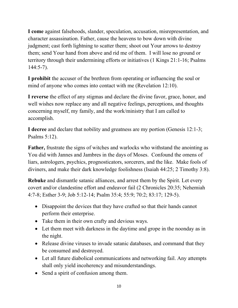**I come** against falsehoods, slander, speculation, accusation, misrepresentation, and character assassination. Father, cause the heavens to bow down with divine judgment; cast forth lightning to scatter them; shoot out Your arrows to destroy them; send Your hand from above and rid me of them. I will lose no ground or territory through their undermining efforts or initiatives (1 Kings 21:1-16; Psalms 144:5-7).

**I prohibit** the accuser of the brethren from operating or influencing the soul or mind of anyone who comes into contact with me (Revelation 12:10).

**I reverse** the effect of any stigmas and declare the divine favor, grace, honor, and well wishes now replace any and all negative feelings, perceptions, and thoughts concerning myself, my family, and the work/ministry that I am called to accomplish.

**I decree** and declare that nobility and greatness are my portion (Genesis 12:1-3; Psalms 5:12).

**Father,** frustrate the signs of witches and warlocks who withstand the anointing as You did with Jannes and Jambres in the days of Moses. Confound the omens of liars, astrologers, psychics, prognosticators, sorcerers, and the like. Make fools of diviners, and make their dark knowledge foolishness (Isaiah 44:25; 2 Timothy 3:8).

**Rebuke** and dismantle satanic alliances, and arrest them by the Spirit. Let every covert and/or clandestine effort and endeavor fail (2 Chronicles 20:35; Nehemiah 4:7-8; Esther 3-9; Job 5:12-14; Psalm 35:4; 55:9; 70:2; 83:17; 129-5).

- Disappoint the devices that they have crafted so that their hands cannot perform their enterprise.
- Take them in their own crafty and devious ways.
- Let them meet with darkness in the daytime and grope in the noonday as in the night.
- Release divine viruses to invade satanic databases, and command that they be consumed and destroyed.
- Let all future diabolical communications and networking fail. Any attempts shall only yield incoherency and misunderstandings.
- Send a spirit of confusion among them.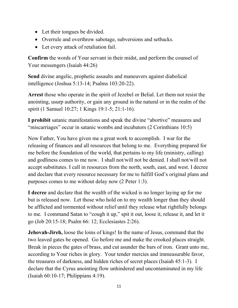- Let their tongues be divided.
- Overrule and overthrow sabotage, subversions and setbacks.
- Let every attack of retaliation fail.

**Confirm** the words of Your servant in their midst, and perform the counsel of Your messengers (Isaiah 44:26)

**Send** divine angelic, prophetic assaults and maneuvers against diabolical intelligence (Joshua 5:13-14; Psalms 103:20-22).

**Arrest** those who operate in the spirit of Jezebel or Belial. Let them not resist the anointing, usurp authority, or gain any ground in the natural or in the realm of the spirit (1 Samuel 10:27; 1 Kings 19:1-5; 21:1-16).

**I prohibit** satanic manifestations and speak the divine "abortive" measures and "miscarriages" occur in satanic wombs and incubators (2 Corinthians 10:5)

Now Father, You have given me a great work to accomplish. I war for the releasing of finances and all resources that belong to me. Everything prepared for me before the foundation of the world, that pertains to my life (ministry, calling) and godliness comes to me now. I shall not/will not be denied. I shall not/will not accept substitutes. I call in resources from the north, south, east, and west. I decree and declare that every resource necessary for me to fulfill God's original plans and purposes comes to me without delay now (2 Peter 1:3).

**I decree** and declare that the wealth of the wicked is no longer laying up for me but is released now. Let those who hold on to my wealth longer than they should be afflicted and tormented without relief until they release what rightfully belongs to me. I command Satan to "cough it up," spit it out, loose it, release it, and let it go (Job 20:15-18; Psalm 66: 12; Ecclesiastes 2:26).

**Jehovah-Jireh,** loose the loins of kings! In the name of Jesus, command that the two leaved gates be opened. Go before me and make the crooked places straight. Break in pieces the gates of brass, and cut asunder the bars of iron. Grant unto me, according to Your riches in glory. Your tender mercies and immeasurable favor, the treasures of darkness, and hidden riches of secret places (Isaiah 45:1-3). I declare that the Cyrus anointing flow unhindered and uncontaminated in my life (Isaiah 60:10-17; Philippians 4:19).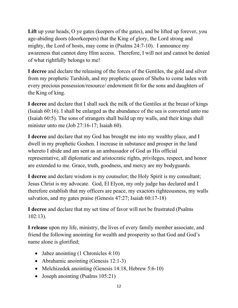Lift up your heads, O ye gates (keepers of the gates), and be lifted up forever, you age-abiding doors (doorkeepers) that the King of glory, the Lord strong and mighty, the Lord of hosts, may come in (Psalms 24:7-10). I announce my awareness that cannot deny Him access. Therefore, I will not and cannot be denied of what rightfully belongs to me!

**I decree** and declare the releasing of the forces of the Gentiles, the gold and silver from my prophetic Tarshish, and my prophetic queen of Sheba to come laden with every precious possession/resource/ endowment fit for the sons and daughters of the King of king.

**I decree** and declare that I shall suck the milk of the Gentiles at the breast of kings (Isaiah 60:16). I shall be enlarged as the abundance of the sea is converted unto me (Isaiah 60:5). The sons of strangers shall build up my walls, and their kings shall minister unto me (Job 27:16-17; Isaiah 60).

**I decree** and declare that my God has brought me into my wealthy place, and I dwell in my prophetic Goshen. I increase in substance and prosper in the land whereto I abide and am sent as an ambassador of God as His official representative, all diplomatic and aristocratic rights, privileges, respect, and honor are extended to me. Grace, truth, goodness, and mercy are my bodyguards.

**I decree** and declare wisdom is my counselor; the Holy Spirit is my consultant; Jesus Christ is my advocate. God, El Elyon, my only judge has declared and I therefore establish that my officers are peace, my exactors righteousness, my walls salvation, and my gates praise (Genesis 47:27; Isaiah 60:17-18)

**I decree** and declare that my set time of favor will not be frustrated (Psalms 102:13).

**I release** upon my life, ministry, the lives of every family member associate, and friend the following anointing for wealth and prosperity so that God and God's name alone is glorified;

- Jabez anointing (1 Chronicles 4:10)
- Abrahamic anointing (Genesis 12:1-3)
- Melchizedek anointing (Genesis 14:18, Hebrew 5:6-10)
- Joseph anointing (Psalms 105:21)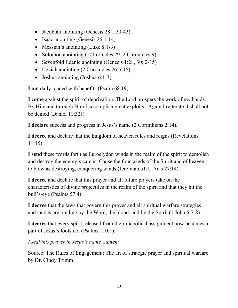- Jacobian anointing (Genesis 28:1:30-43)
- Isaac anointing (Genesis 26:1-14)
- Messiah's anointing (Luke 8:1-3)
- Solomon anointing (1Chronicles 29; 2 Chronicles 9)
- Sevenfold Edenic anointing (Genesis 1:28, 30; 2-15)
- Uzziah anointing (2 Chronicles 26:5-15)
- Joshua anointing (Joshua 6:1-3)

**I am** daily loaded with benefits (Psalm 68:19)

**I come** against the spirit of deprivation. The Lord prospers the work of my hands. By Him and through Him I accomplish great exploits. Again I reiterate, I shall not be denied (Daniel 11:32)!

**I declare** success and progress in Jesus's name (2 Corinthians 2:14).

**I decree** and declare that the kingdom of heaven rules and reigns (Revelations 11:15).

**I send** these words forth as Euroclydon winds in the realm of the spirit to demolish and destroy the enemy's camps. Cause the four winds of the Spirit and of heaven to blow as destroying, conquering winds (Jeremiah 51:1; Acts 27:14).

**I decree** and declare that this prayer and all future prayers take on the characteristics of divine projectiles in the realm of the spirit and that they hit the bull's-eye (Psalms 57:4).

**I decree** that the laws that govern this prayer and all spiritual warfare strategies and tactics are binding by the Word, the blood, and by the Spirit (1 John 5:7-8).

**I decree** that every spirit released from their diabolical assignment now becomes a part of Jesus's footstool (Psalms 110:1).

*I seal this prayer in Jesus's name…amen!*

Source: The Rules of Engagement: The art of strategic prayer and spiritual warfare by Dr. Cindy Trimm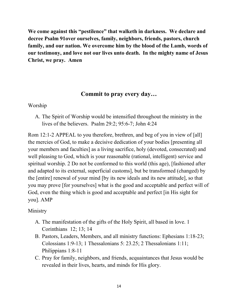**We come against this "pestilence" that walketh in darkness. We declare and decree Psalm 91over ourselves, family, neighbors, friends, pastors, church family, and our nation. We overcome him by the blood of the Lamb, words of our testimony, and love not our lives unto death. In the mighty name of Jesus Christ, we pray. Amen**

#### **Commit to pray every day…**

#### Worship

A. The Spirit of Worship would be intensified throughout the ministry in the lives of the believers. Psalm 29:2; 95:6-7; John 4:24

Rom 12:1-2 APPEAL to you therefore, brethren, and beg of you in view of [all] the mercies of God, to make a decisive dedication of your bodies [presenting all your members and faculties] as a living sacrifice, holy (devoted, consecrated) and well pleasing to God, which is your reasonable (rational, intelligent) service and spiritual worship. 2 Do not be conformed to this world (this age), [fashioned after and adapted to its external, superficial customs], but be transformed (changed) by the [entire] renewal of your mind [by its new ideals and its new attitude], so that you may prove [for yourselves] what is the good and acceptable and perfect will of God, even the thing which is good and acceptable and perfect [in His sight for you]. AMP

#### Ministry

- A. The manifestation of the gifts of the Holy Spirit, all based in love. 1 Corinthians 12; 13; 14
- B. Pastors, Leaders, Members, and all ministry functions: Ephesians 1:18-23; Colossians 1:9-13; 1 Thessalonians 5: 23.25; 2 Thessalonians 1:11; Philippians 1:8-11
- C. Pray for family, neighbors, and friends, acquaintances that Jesus would be revealed in their lives, hearts, and minds for His glory.